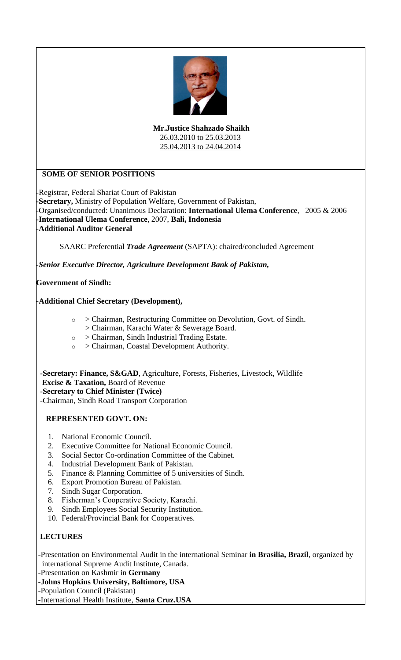

**Mr.Justice Shahzado Shaikh** 26.03.2010 to 25.03.2013 25.04.2013 to 24.04.2014

# **SOME OF SENIOR POSITIONS**

**-**Registrar, Federal Shariat Court of Pakistan **-Secretary,** Ministry of Population Welfare, Government of Pakistan, -Organised/conducted: Unanimous Declaration: **International Ulema Conference**, 2005 & 2006 -**International Ulema Conference**, 2007, **Bali, Indonesia -Additional Auditor General**

SAARC Preferential *Trade Agreement* (SAPTA): chaired/concluded Agreement

*-Senior Executive Director, Agriculture Development Bank of Pakistan,*

## **Government of Sindh:**

## **-Additional Chief Secretary (Development),**

- o > Chairman, Restructuring Committee on Devolution, Govt. of Sindh.
- > Chairman, Karachi Water & Sewerage Board.
- o > Chairman, Sindh Industrial Trading Estate.
- o > Chairman, Coastal Development Authority.

 **-Secretary: Finance, S&GAD**, Agriculture, Forests, Fisheries, Livestock, Wildlife  **Excise & Taxation,** Board of Revenue  **-Secretary to Chief Minister (Twice)**

-Chairman, Sindh Road Transport Corporation

## **REPRESENTED GOVT. ON:**

- 1. National Economic Council.
- 2. Executive Committee for National Economic Council.
- 3. Social Sector Co-ordination Committee of the Cabinet.
- 4. Industrial Development Bank of Pakistan.
- 5. Finance & Planning Committee of 5 universities of Sindh.
- 6. Export Promotion Bureau of Pakistan.
- 7. Sindh Sugar Corporation.
- 8. Fisherman's Cooperative Society, Karachi.
- 9. Sindh Employees Social Security Institution.
- 10. Federal/Provincial Bank for Cooperatives.

## **LECTURES**

-Presentation on Environmental Audit in the international Seminar **in Brasilia, Brazil**, organized by international Supreme Audit Institute, Canada.

-Presentation on Kashmir in **Germany**

-**Johns Hopkins University, Baltimore, USA**

-Population Council (Pakistan)

-International Health Institute, **Santa Cruz.USA**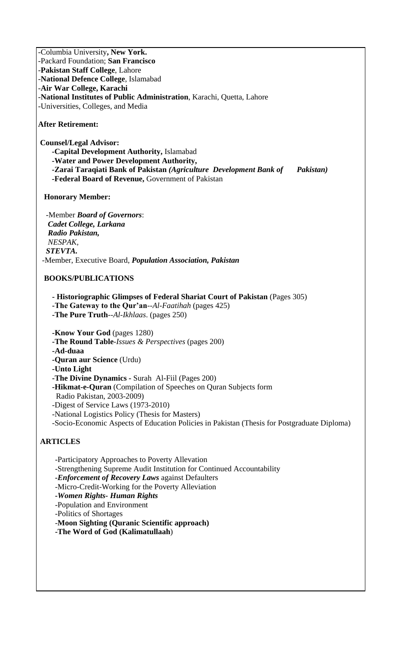-Columbia University**, New York.** -Packard Foundation; **San Francisco** -**Pakistan Staff College**, Lahore -**National Defence College**, Islamabad -**Air War College, Karachi** -**National Institutes of Public Administration**, Karachi, Quetta, Lahore -Universities, Colleges, and Media

**After Retirement:**

**Counsel/Legal Advisor:**

 **-Capital Development Authority,** Islamabad  **-Water and Power Development Authority, -Zarai Taraqiati Bank of Pakistan** *(Agriculture Development Bank of Pakistan)*  **-Federal Board of Revenue,** Government of Pakistan

## **Honorary Member:**

 -Member *Board of Governors*:  *Cadet College, Larkana Radio Pakistan, NESPAK, STEVTA.* -Member, Executive Board, *Population Association, Pakistan*

#### **BOOKS/PUBLICATIONS**

- **- Historiographic Glimpses of Federal Shariat Court of Pakistan** (Pages 305)
- **-The Gateway to the Qur'an**--*Al-Faatihah* (pages 425)
- **-The Pure Truth**--*Al-Ikhlaas*. (pages 250)

**-Know Your God** (pages 1280)

**-The Round Table**-*Issues & Perspectives* (pages 200)

**-Ad-duaa**

**-Quran aur Science** (Urdu)

**-Unto Light**

**-The Divine Dynamics -** Surah Al-Fiil (Pages 200)

**-Hikmat-e-Quran** (Compilation of Speeches on Quran Subjects form

Radio Pakistan, 2003-2009)

-Digest of Service Laws (1973-2010)

-National Logistics Policy (Thesis for Masters)

-Socio-Economic Aspects of Education Policies in Pakistan (Thesis for Postgraduate Diploma)

## **ARTICLES**

-Participatory Approaches to Poverty Allevation

-Strengthening Supreme Audit Institution for Continued Accountability

*-Enforcement of Recovery Laws* against Defaulters

-Micro-Credit-Working for the Poverty Alleviation

*-Women Rights- Human Rights*

-Population and Environment

-Politics of Shortages

-**Moon Sighting (Quranic Scientific approach)**

**-The Word of God (Kalimatullaah**)